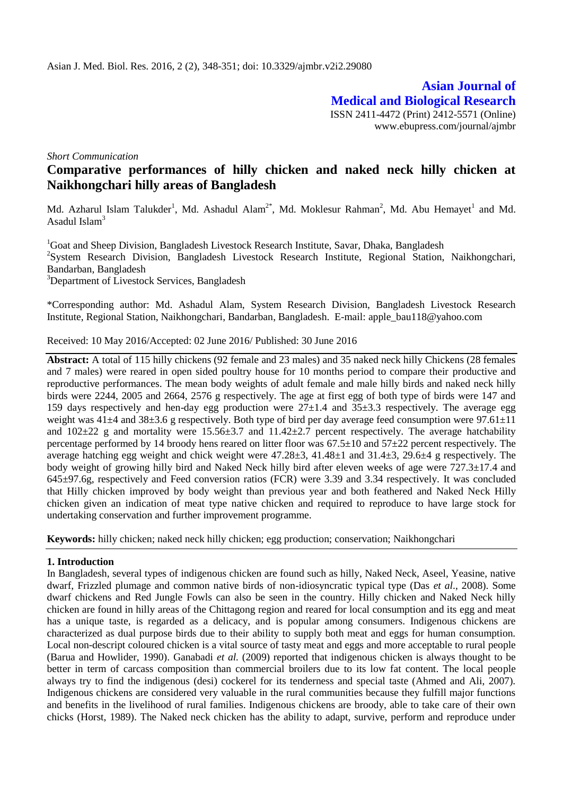**Asian Journal of Medical and Biological Research** ISSN 2411-4472 (Print) 2412-5571 (Online) www.ebupress.com/journal/ajmbr

*Short Communication*

# **Comparative performances of hilly chicken and naked neck hilly chicken at Naikhongchari hilly areas of Bangladesh**

Md. Azharul Islam Talukder<sup>1</sup>, Md. Ashadul Alam<sup>2\*</sup>, Md. Moklesur Rahman<sup>2</sup>, Md. Abu Hemayet<sup>1</sup> and Md. Asadul Islam $3$ 

<sup>1</sup>Goat and Sheep Division, Bangladesh Livestock Research Institute, Savar, Dhaka, Bangladesh <sup>2</sup>System Research Division, Bangladesh Livestock Research Institute, Regional Station, Naikhongchari, Bandarban, Bangladesh <sup>3</sup>Department of Livestock Services, Bangladesh

\*Corresponding author: Md. Ashadul Alam, System Research Division, Bangladesh Livestock Research Institute, Regional Station, Naikhongchari, Bandarban, Bangladesh. E-mail: apple\_bau118@yahoo.com

Received: 10 May 2016/Accepted: 02 June 2016/ Published: 30 June 2016

**Abstract:** A total of 115 hilly chickens (92 female and 23 males) and 35 naked neck hilly Chickens (28 females and 7 males) were reared in open sided poultry house for 10 months period to compare their productive and reproductive performances. The mean body weights of adult female and male hilly birds and naked neck hilly birds were 2244, 2005 and 2664, 2576 g respectively. The age at first egg of both type of birds were 147 and 159 days respectively and hen-day egg production were  $27\pm1.4$  and  $35\pm3.3$  respectively. The average egg weight was  $41\pm4$  and  $38\pm3.6$  g respectively. Both type of bird per day average feed consumption were 97.61 $\pm$ 11 and  $102\pm 22$  g and mortality were  $15.56\pm 3.7$  and  $11.42\pm 2.7$  percent respectively. The average hatchability percentage performed by 14 broody hens reared on litter floor was 67.5±10 and 57±22 percent respectively. The average hatching egg weight and chick weight were  $47.28\pm3$ ,  $41.48\pm1$  and  $31.4\pm3$ ,  $29.6\pm4$  g respectively. The body weight of growing hilly bird and Naked Neck hilly bird after eleven weeks of age were 727.3±17.4 and 645±97.6g, respectively and Feed conversion ratios (FCR) were 3.39 and 3.34 respectively. It was concluded that Hilly chicken improved by body weight than previous year and both feathered and Naked Neck Hilly chicken given an indication of meat type native chicken and required to reproduce to have large stock for undertaking conservation and further improvement programme.

**Keywords:** hilly chicken; naked neck hilly chicken; egg production; conservation; Naikhongchari

# **1. Introduction**

In Bangladesh, several types of indigenous chicken are found such as hilly, Naked Neck, Aseel, Yeasine, native dwarf, Frizzled plumage and common native birds of non-idiosyncratic typical type (Das *et al*., 2008). Some dwarf chickens and Red Jungle Fowls can also be seen in the country. Hilly chicken and Naked Neck hilly chicken are found in hilly areas of the Chittagong region and reared for local consumption and its egg and meat has a unique taste, is regarded as a delicacy, and is popular among consumers. Indigenous chickens are characterized as dual purpose birds due to their ability to supply both meat and eggs for human consumption. Local non-descript coloured chicken is a vital source of tasty meat and eggs and more acceptable to rural people (Barua and Howlider, 1990). Ganabadi *et al.* (2009) reported that indigenous chicken is always thought to be better in term of carcass composition than commercial broilers due to its low fat content. The local people always try to find the indigenous (desi) cockerel for its tenderness and special taste (Ahmed and Ali, 2007). Indigenous chickens are considered very valuable in the rural communities because they fulfill major functions and benefits in the livelihood of rural families. Indigenous chickens are broody, able to take care of their own chicks (Horst, 1989). The Naked neck chicken has the ability to adapt, survive, perform and reproduce under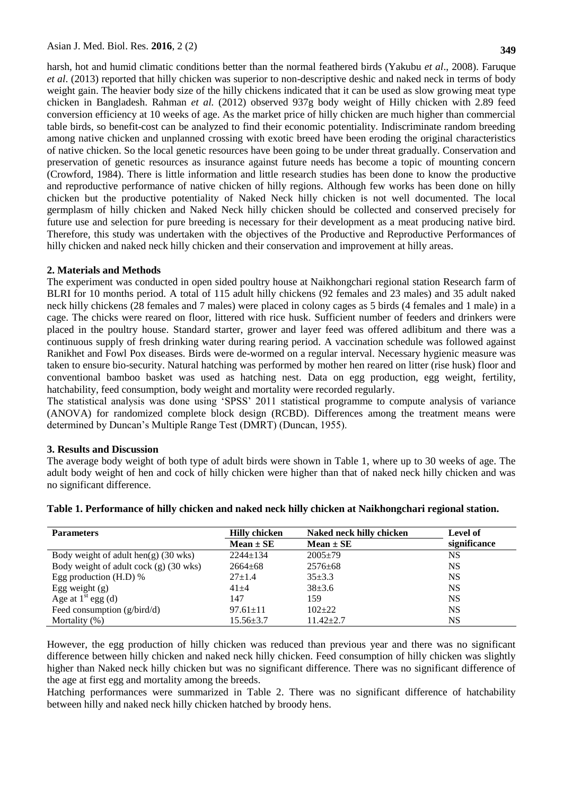harsh, hot and humid climatic conditions better than the normal feathered birds (Yakubu *et al*., 2008). Faruque *et al*. (2013) reported that hilly chicken was superior to non-descriptive deshic and naked neck in terms of body weight gain. The heavier body size of the hilly chickens indicated that it can be used as slow growing meat type chicken in Bangladesh. Rahman *et al.* (2012) observed 937g body weight of Hilly chicken with 2.89 feed conversion efficiency at 10 weeks of age. As the market price of hilly chicken are much higher than commercial table birds, so benefit-cost can be analyzed to find their economic potentiality. Indiscriminate random breeding among native chicken and unplanned crossing with exotic breed have been eroding the original characteristics of native chicken. So the local genetic resources have been going to be under threat gradually. Conservation and preservation of genetic resources as insurance against future needs has become a topic of mounting concern (Crowford, 1984). There is little information and little research studies has been done to know the productive and reproductive performance of native chicken of hilly regions. Although few works has been done on hilly chicken but the productive potentiality of Naked Neck hilly chicken is not well documented. The local germplasm of hilly chicken and Naked Neck hilly chicken should be collected and conserved precisely for future use and selection for pure breeding is necessary for their development as a meat producing native bird. Therefore, this study was undertaken with the objectives of the Productive and Reproductive Performances of hilly chicken and naked neck hilly chicken and their conservation and improvement at hilly areas.

#### **2. Materials and Methods**

The experiment was conducted in open sided poultry house at Naikhongchari regional station Research farm of BLRI for 10 months period. A total of 115 adult hilly chickens (92 females and 23 males) and 35 adult naked neck hilly chickens (28 females and 7 males) were placed in colony cages as 5 birds (4 females and 1 male) in a cage. The chicks were reared on floor, littered with rice husk. Sufficient number of feeders and drinkers were placed in the poultry house. Standard starter, grower and layer feed was offered adlibitum and there was a continuous supply of fresh drinking water during rearing period. A vaccination schedule was followed against Ranikhet and Fowl Pox diseases. Birds were de-wormed on a regular interval. Necessary hygienic measure was taken to ensure bio-security. Natural hatching was performed by mother hen reared on litter (rise husk) floor and conventional bamboo basket was used as hatching nest. Data on egg production, egg weight, fertility, hatchability, feed consumption, body weight and mortality were recorded regularly.

The statistical analysis was done using 'SPSS' 2011 statistical programme to compute analysis of variance (ANOVA) for randomized complete block design (RCBD). Differences among the treatment means were determined by Duncan's Multiple Range Test (DMRT) (Duncan, 1955).

#### **3. Results and Discussion**

The average body weight of both type of adult birds were shown in Table 1, where up to 30 weeks of age. The adult body weight of hen and cock of hilly chicken were higher than that of naked neck hilly chicken and was no significant difference.

| <b>Parameters</b>                              | <b>Hilly chicken</b><br>Naked neck hilly chicken |                 | Level of     |
|------------------------------------------------|--------------------------------------------------|-----------------|--------------|
|                                                | $Mean \pm SE$                                    | $Mean \pm SE$   | significance |
| Body weight of adult hen(g) $(30 \text{ wks})$ | $2244 \pm 134$                                   | $2005+79$       | <b>NS</b>    |
| Body weight of adult cock (g) (30 wks)         | $2664 \pm 68$                                    | $2576 \pm 68$   | <b>NS</b>    |
| Egg production $(H.D)$ %                       | $27+1.4$                                         | $35 + 3.3$      | <b>NS</b>    |
| Egg weight $(g)$                               | $41 + 4$                                         | $38+3.6$        | <b>NS</b>    |
| Age at $1st$ egg (d)                           | 147                                              | 159             | <b>NS</b>    |
| Feed consumption (g/bird/d)                    | $97.61 \pm 11$                                   | $102+22$        | <b>NS</b>    |
| Mortality $(\%)$                               | $15.56 \pm 3.7$                                  | $11.42 \pm 2.7$ | <b>NS</b>    |

## **Table 1. Performance of hilly chicken and naked neck hilly chicken at Naikhongchari regional station.**

However, the egg production of hilly chicken was reduced than previous year and there was no significant difference between hilly chicken and naked neck hilly chicken. Feed consumption of hilly chicken was slightly higher than Naked neck hilly chicken but was no significant difference. There was no significant difference of the age at first egg and mortality among the breeds.

Hatching performances were summarized in Table 2. There was no significant difference of hatchability between hilly and naked neck hilly chicken hatched by broody hens.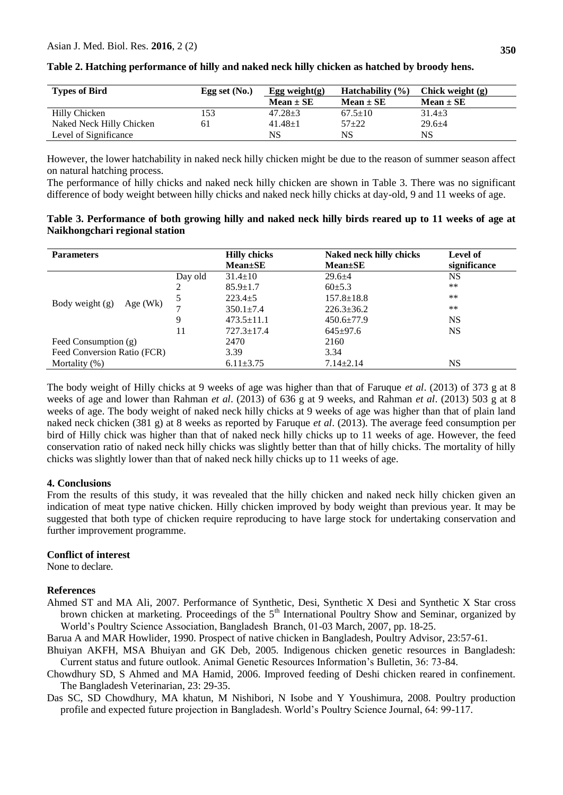| <b>Types of Bird</b>     | Egg set $(No.)$ | <b>Hatchability</b> $(\% )$<br>Egg weight $(g)$ |               | Chick weight (g) |
|--------------------------|-----------------|-------------------------------------------------|---------------|------------------|
|                          |                 | $Mean \pm SE$                                   | $Mean \pm SE$ | $Mean \pm SE$    |
| Hilly Chicken            | 153             | $47.28 \pm 3$                                   | $67.5 \pm 10$ | $31.4 \pm 3$     |
| Naked Neck Hilly Chicken | 61              | $41.48 + 1$                                     | $57 + 22$     | $29.6 \pm 4$     |
| Level of Significance    |                 | NS                                              | NS            | NS               |

## **Table 2. Hatching performance of hilly and naked neck hilly chicken as hatched by broody hens.**

However, the lower hatchability in naked neck hilly chicken might be due to the reason of summer season affect on natural hatching process.

The performance of hilly chicks and naked neck hilly chicken are shown in Table 3. There was no significant difference of body weight between hilly chicks and naked neck hilly chicks at day-old, 9 and 11 weeks of age.

## **Table 3. Performance of both growing hilly and naked neck hilly birds reared up to 11 weeks of age at Naikhongchari regional station**

| <b>Parameters</b>               |         | <b>Hilly chicks</b> | <b>Naked neck hilly chicks</b> | Level of     |
|---------------------------------|---------|---------------------|--------------------------------|--------------|
|                                 |         | $Mean \pm SE$       | $Mean \pm SE$                  | significance |
| Body weight $(g)$<br>$Age$ (Wk) | Day old | $31.4 \pm 10$       | $29.6 + 4$                     | <b>NS</b>    |
|                                 | 2       | $85.9 \pm 1.7$      | $60\pm5.3$                     | $***$        |
|                                 | 5       | $223.4 \pm 5$       | $157.8 \pm 18.8$               | **           |
|                                 | ⇁       | $350.1 \pm 7.4$     | $226.3 \pm 36.2$               | **           |
|                                 | 9       | $473.5 \pm 11.1$    | $450.6 \pm 77.9$               | <b>NS</b>    |
|                                 | 11      | $727.3 \pm 17.4$    | $645 \pm 97.6$                 | <b>NS</b>    |
| Feed Consumption $(g)$          |         | 2470                | 2160                           |              |
| Feed Conversion Ratio (FCR)     |         | 3.39                | 3.34                           |              |
| Mortality $(\%)$                |         | $6.11\pm3.75$       | $7.14 \pm 2.14$                | NS           |

The body weight of Hilly chicks at 9 weeks of age was higher than that of Faruque *et al*. (2013) of 373 g at 8 weeks of age and lower than Rahman *et al*. (2013) of 636 g at 9 weeks, and Rahman *et al*. (2013) 503 g at 8 weeks of age. The body weight of naked neck hilly chicks at 9 weeks of age was higher than that of plain land naked neck chicken (381 g) at 8 weeks as reported by Faruque *et al*. (2013). The average feed consumption per bird of Hilly chick was higher than that of naked neck hilly chicks up to 11 weeks of age. However, the feed conservation ratio of naked neck hilly chicks was slightly better than that of hilly chicks. The mortality of hilly chicks was slightly lower than that of naked neck hilly chicks up to 11 weeks of age.

# **4. Conclusions**

From the results of this study, it was revealed that the hilly chicken and naked neck hilly chicken given an indication of meat type native chicken. Hilly chicken improved by body weight than previous year. It may be suggested that both type of chicken require reproducing to have large stock for undertaking conservation and further improvement programme.

## **Conflict of interest**

None to declare.

#### **References**

Ahmed ST and MA Ali, 2007. Performance of Synthetic, Desi, Synthetic X Desi and Synthetic X Star cross brown chicken at marketing. Proceedings of the 5<sup>th</sup> International Poultry Show and Seminar, organized by World's Poultry Science Association, Bangladesh Branch, 01-03 March, 2007, pp. 18-25.

Barua A and MAR Howlider, 1990. Prospect of native chicken in Bangladesh, Poultry Advisor, 23:57-61.

- Bhuiyan AKFH, MSA Bhuiyan and GK Deb, 2005. Indigenous chicken genetic resources in Bangladesh: Current status and future outlook. Animal Genetic Resources Information's Bulletin, 36: 73-84.
- Chowdhury SD, S Ahmed and MA Hamid, 2006. Improved feeding of Deshi chicken reared in confinement. The Bangladesh Veterinarian, 23: 29-35.
- Das SC, SD Chowdhury, MA khatun, M Nishibori, N Isobe and Y Youshimura, 2008. Poultry production profile and expected future projection in Bangladesh. World's Poultry Science Journal, 64: 99-117.